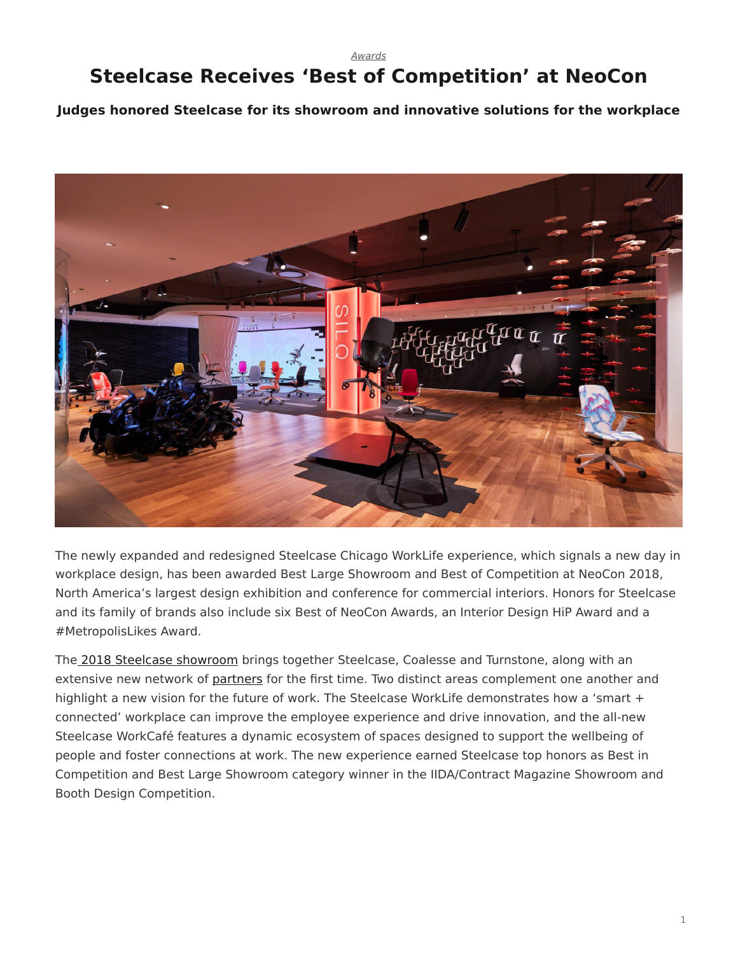*[Awards](https://www.steelcase.com/research/topics/awards/)*

## <span id="page-0-0"></span>**Steelcase Receives 'Best of Competition' at NeoCon**

**Judges honored Steelcase for its showroom and innovative solutions for the workplace**



The newly expanded and redesigned Steelcase Chicago WorkLife experience, which signals a new day in workplace design, has been awarded Best Large Showroom and Best of Competition at NeoCon 2018, North America's largest design exhibition and conference for commercial interiors. Honors for Steelcase and its family of brands also include six Best of NeoCon Awards, an Interior Design HiP Award and a #MetropolisLikes Award.

The [2018 Steelcase showroom](https://www.steelcase.com/research/articles/topics/innovation/new-day-neocon-2018/) brings together Steelcase, Coalesse and Turnstone, along with an extensive new network of [partners](https://www.steelcase.com/our-partners/) for the first time. Two distinct areas complement one another and highlight a new vision for the future of work. The Steelcase WorkLife demonstrates how a 'smart + connected' workplace can improve the employee experience and drive innovation, and the all-new Steelcase WorkCafé features a dynamic ecosystem of spaces designed to support the wellbeing of people and foster connections at work. The new experience earned Steelcase top honors as Best in Competition and Best Large Showroom category winner in the IIDA/Contract Magazine Showroom and Booth Design Competition.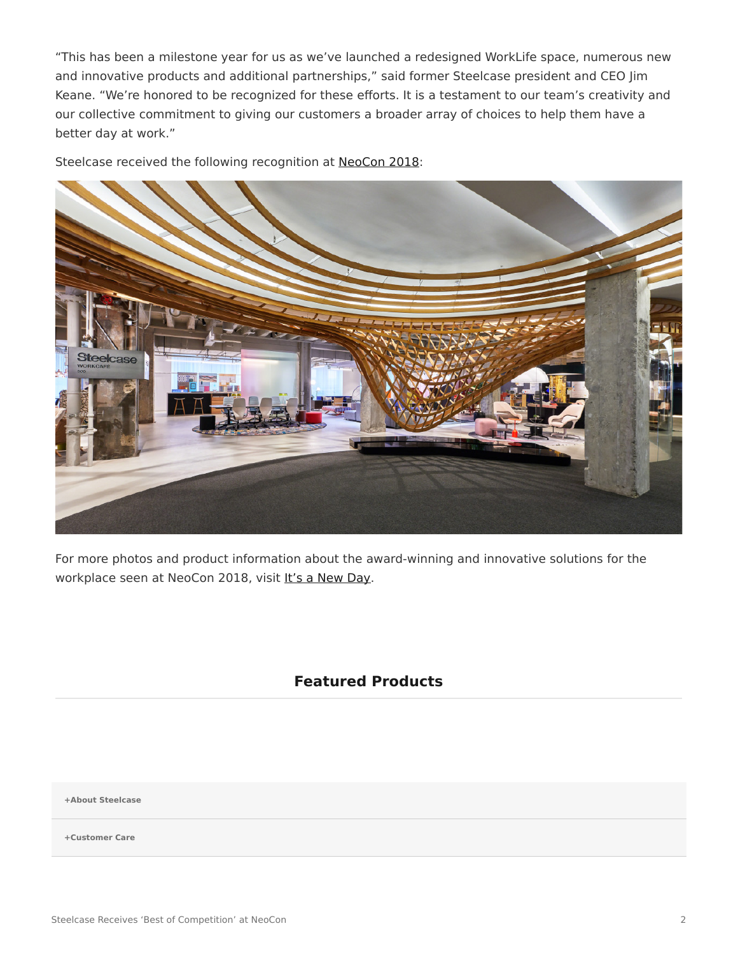"This has been a milestone year for us as we've launched a redesigned WorkLife space, numerous new and innovative products and additional partnerships," said former Steelcase president and CEO Jim Keane. "We're honored to be recognized for these efforts. It is a testament to our team's creativity and our collective commitment to giving our customers a broader array of choices to help them have a better day at work."

Steelcase received the following recognition at [NeoCon 2018](https://www.steelcase.com/neocon-guide/):



For more photos and product information about the award-winning and innovative solutions for the workplace seen at NeoCon 2018, visit [It's a New Day.](https://www.steelcase.com/new-day/)

## **Featured Products**

**[+About Steelcase](https://www.steelcase.com/discover/steelcase/our-company/)**

**[+Customer Care](#page-0-0)**